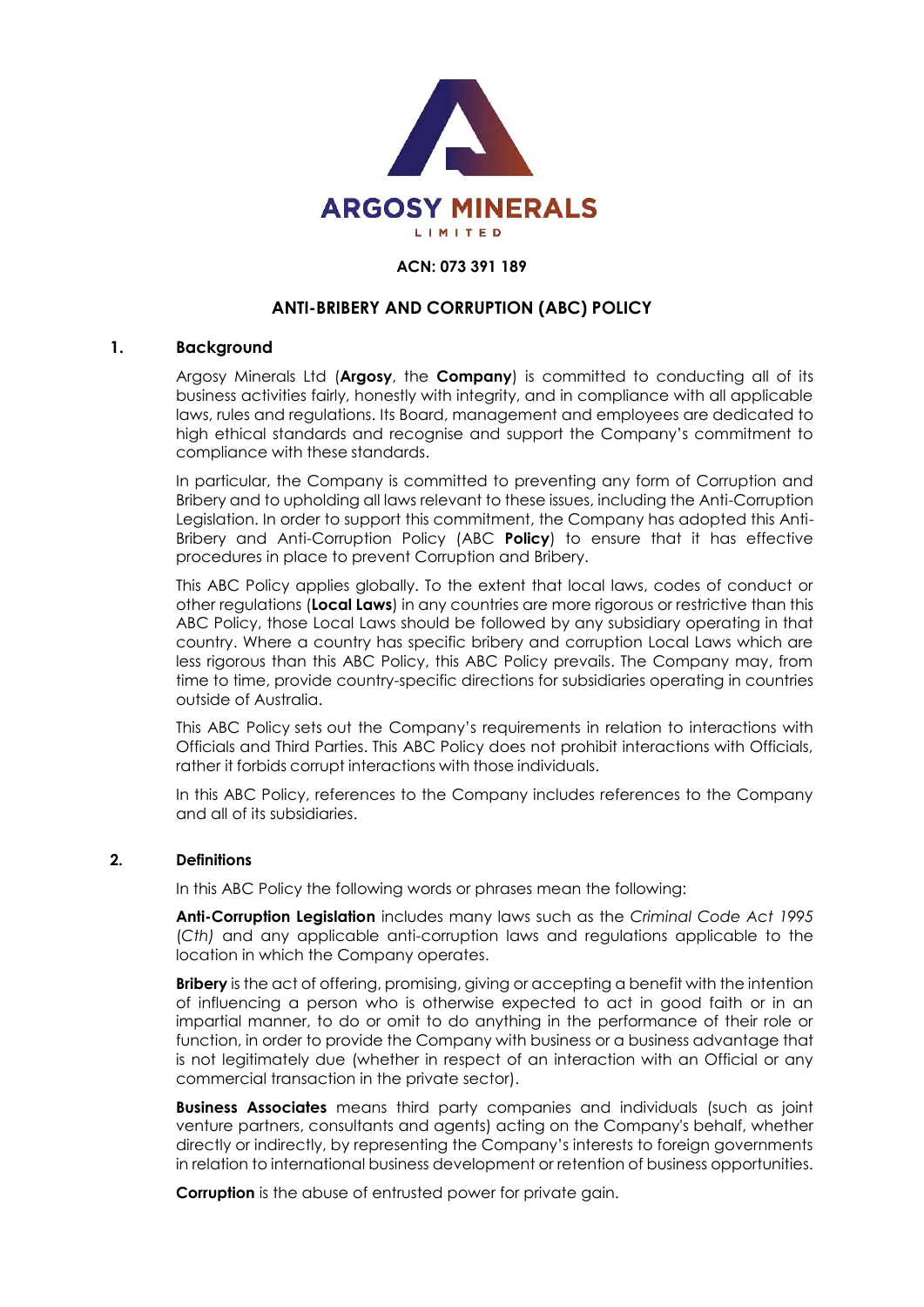

#### **ACN: 073 391 189**

## **ANTI-BRIBERY AND CORRUPTION (ABC) POLICY**

#### **1. Background**

Argosy Minerals Ltd (**Argosy**, the **Company**) is committed to conducting all of its business activities fairly, honestly with integrity, and in compliance with all applicable laws, rules and regulations. Its Board, management and employees are dedicated to high ethical standards and recognise and support the Company's commitment to compliance with these standards.

In particular, the Company is committed to preventing any form of Corruption and Bribery and to upholding all laws relevant to these issues, including the Anti-Corruption Legislation. In order to support this commitment, the Company has adopted this Anti-Bribery and Anti-Corruption Policy (ABC **Policy**) to ensure that it has effective procedures in place to prevent Corruption and Bribery.

This ABC Policy applies globally. To the extent that local laws, codes of conduct or other regulations (**Local Laws**) in any countries are more rigorous or restrictive than this ABC Policy, those Local Laws should be followed by any subsidiary operating in that country. Where a country has specific bribery and corruption Local Laws which are less rigorous than this ABC Policy, this ABC Policy prevails. The Company may, from time to time, provide country-specific directions for subsidiaries operating in countries outside of Australia.

This ABC Policy sets out the Company's requirements in relation to interactions with Officials and Third Parties. This ABC Policy does not prohibit interactions with Officials, rather it forbids corrupt interactions with those individuals.

In this ABC Policy, references to the Company includes references to the Company and all of its subsidiaries.

#### **2. Definitions**

In this ABC Policy the following words or phrases mean the following:

**Anti-Corruption Legislation** includes many laws such as the *Criminal Code Act 1995*  (*Cth)* and any applicable anti-corruption laws and regulations applicable to the location in which the Company operates.

**Bribery** is the act of offering, promising, giving or accepting a benefit with the intention of influencing a person who is otherwise expected to act in good faith or in an impartial manner, to do or omit to do anything in the performance of their role or function, in order to provide the Company with business or a business advantage that is not legitimately due (whether in respect of an interaction with an Official or any commercial transaction in the private sector).

**Business Associates** means third party companies and individuals (such as joint venture partners, consultants and agents) acting on the Company's behalf, whether directly or indirectly, by representing the Company's interests to foreign governments in relation to international business development or retention of business opportunities.

**Corruption** is the abuse of entrusted power for private gain.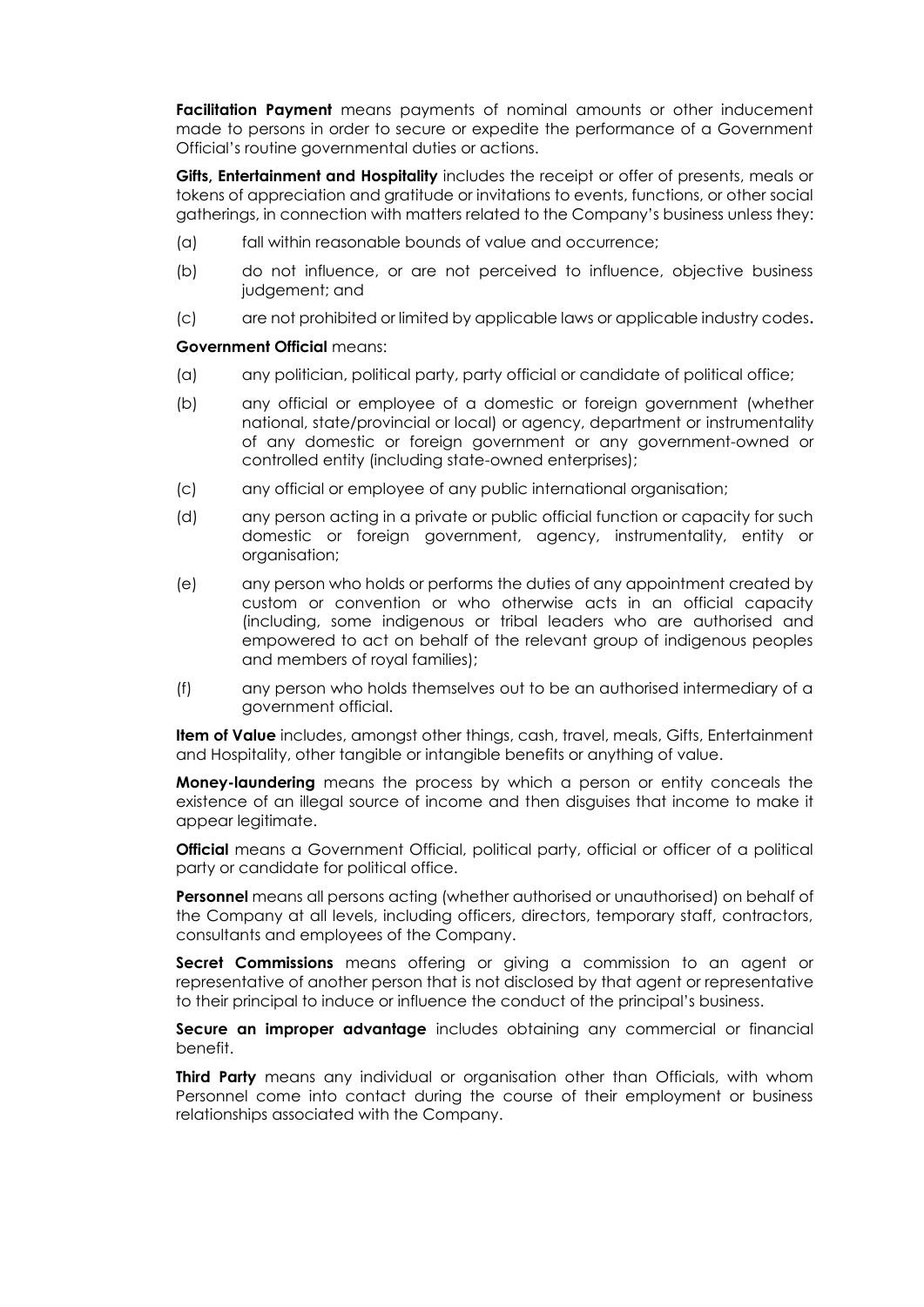**Facilitation Payment** means payments of nominal amounts or other inducement made to persons in order to secure or expedite the performance of a Government Official's routine governmental duties or actions.

**Gifts, Entertainment and Hospitality** includes the receipt or offer of presents, meals or tokens of appreciation and gratitude or invitations to events, functions, or other social gatherings, in connection with matters related to the Company's business unless they:

- (a) fall within reasonable bounds of value and occurrence;
- (b) do not influence, or are not perceived to influence, objective business judgement; and
- (c) are not prohibited or limited by applicable laws or applicable industry codes**.**

#### **Government Official** means:

- (a) any politician, political party, party official or candidate of political office;
- (b) any official or employee of a domestic or foreign government (whether national, state/provincial or local) or agency, department or instrumentality of any domestic or foreign government or any government-owned or controlled entity (including state-owned enterprises);
- (c) any official or employee of any public international organisation;
- (d) any person acting in a private or public official function or capacity for such domestic or foreign government, agency, instrumentality, entity or organisation;
- (e) any person who holds or performs the duties of any appointment created by custom or convention or who otherwise acts in an official capacity (including, some indigenous or tribal leaders who are authorised and empowered to act on behalf of the relevant group of indigenous peoples and members of royal families);
- (f) any person who holds themselves out to be an authorised intermediary of a government official.

**Item of Value** includes, amongst other things, cash, travel, meals, Gifts, Entertainment and Hospitality, other tangible or intangible benefits or anything of value.

**Money-laundering** means the process by which a person or entity conceals the existence of an illegal source of income and then disguises that income to make it appear legitimate.

**Official** means a Government Official, political party, official or officer of a political party or candidate for political office.

**Personnel** means all persons acting (whether authorised or unauthorised) on behalf of the Company at all levels, including officers, directors, temporary staff, contractors, consultants and employees of the Company.

**Secret Commissions** means offering or giving a commission to an agent or representative of another person that is not disclosed by that agent or representative to their principal to induce or influence the conduct of the principal's business.

**Secure an improper advantage** includes obtaining any commercial or financial benefit.

**Third Party** means any individual or organisation other than Officials, with whom Personnel come into contact during the course of their employment or business relationships associated with the Company.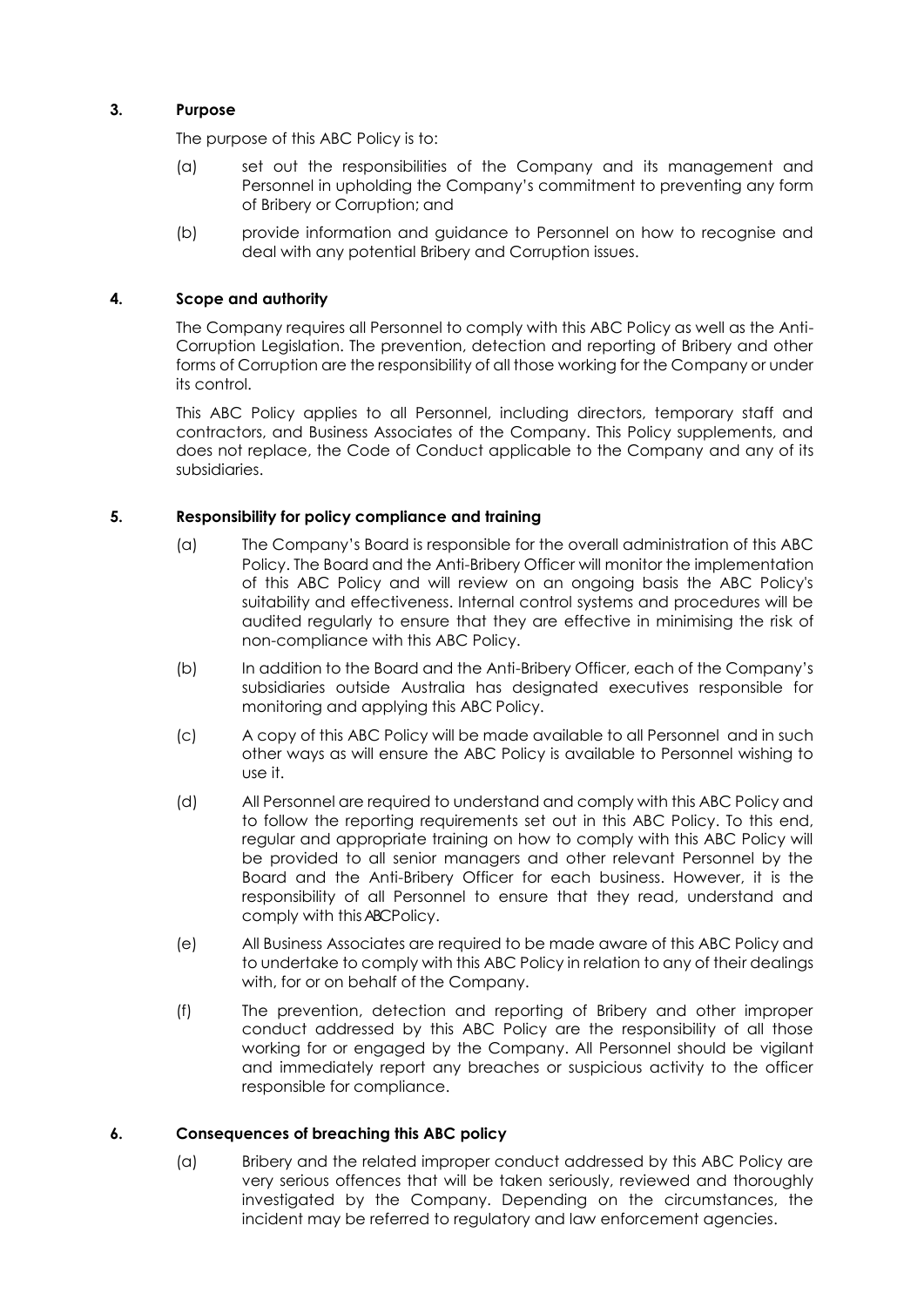## **3. Purpose**

The purpose of this ABC Policy is to:

- (a) set out the responsibilities of the Company and its management and Personnel in upholding the Company's commitment to preventing any form of Bribery or Corruption; and
- (b) provide information and guidance to Personnel on how to recognise and deal with any potential Bribery and Corruption issues.

## **4. Scope and authority**

The Company requires all Personnel to comply with this ABC Policy as well as the Anti-Corruption Legislation. The prevention, detection and reporting of Bribery and other forms of Corruption are the responsibility of all those working for the Company or under its control.

This ABC Policy applies to all Personnel, including directors, temporary staff and contractors, and Business Associates of the Company. This Policy supplements, and does not replace, the Code of Conduct applicable to the Company and any of its subsidiaries.

## **5. Responsibility for policy compliance and training**

- (a) The Company's Board is responsible for the overall administration of this ABC Policy. The Board and the Anti-Bribery Officer will monitor the implementation of this ABC Policy and will review on an ongoing basis the ABC Policy's suitability and effectiveness. Internal control systems and procedures will be audited regularly to ensure that they are effective in minimising the risk of non-compliance with this ABC Policy.
- (b) In addition to the Board and the Anti-Bribery Officer, each of the Company's subsidiaries outside Australia has designated executives responsible for monitoring and applying this ABC Policy.
- (c) A copy of this ABC Policy will be made available to all Personnel and in such other ways as will ensure the ABC Policy is available to Personnel wishing to use it.
- (d) All Personnel are required to understand and comply with this ABC Policy and to follow the reporting requirements set out in this ABC Policy. To this end, regular and appropriate training on how to comply with this ABC Policy will be provided to all senior managers and other relevant Personnel by the Board and the Anti-Bribery Officer for each business. However, it is the responsibility of all Personnel to ensure that they read, understand and comply with this ABC Policy.
- (e) All Business Associates are required to be made aware of this ABC Policy and to undertake to comply with this ABC Policy in relation to any of their dealings with, for or on behalf of the Company.
- (f) The prevention, detection and reporting of Bribery and other improper conduct addressed by this ABC Policy are the responsibility of all those working for or engaged by the Company. All Personnel should be vigilant and immediately report any breaches or suspicious activity to the officer responsible for compliance.

### **6. Consequences of breaching this ABC policy**

(a) Bribery and the related improper conduct addressed by this ABC Policy are very serious offences that will be taken seriously, reviewed and thoroughly investigated by the Company. Depending on the circumstances, the incident may be referred to regulatory and law enforcement agencies.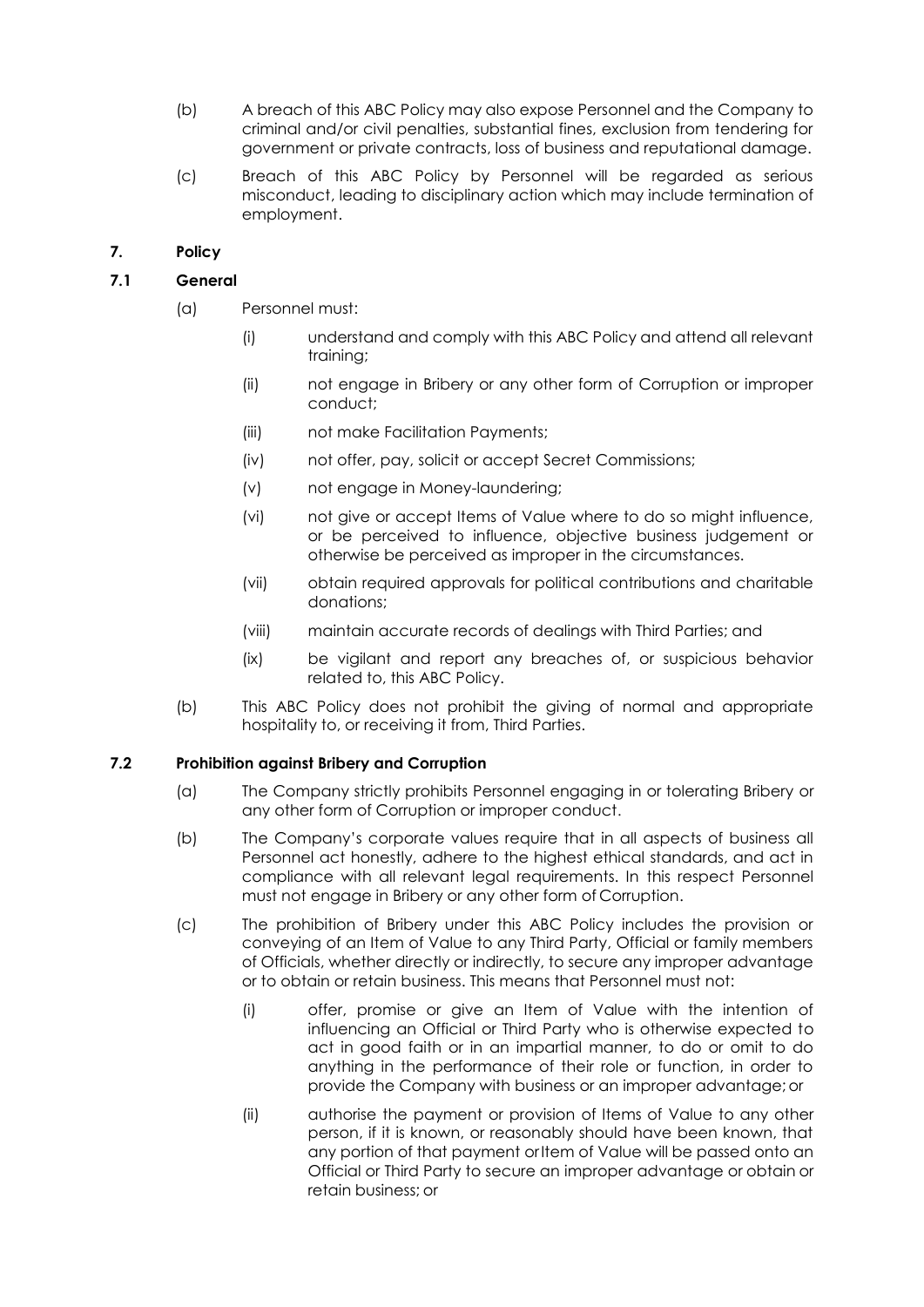- (b) A breach of this ABC Policy may also expose Personnel and the Company to criminal and/or civil penalties, substantial fines, exclusion from tendering for government or private contracts, loss of business and reputational damage.
- (c) Breach of this ABC Policy by Personnel will be regarded as serious misconduct, leading to disciplinary action which may include termination of employment.

## **7. Policy**

## **7.1 General**

- (a) Personnel must:
	- (i) understand and comply with this ABC Policy and attend all relevant training;
	- (ii) not engage in Bribery or any other form of Corruption or improper conduct;
	- (iii) not make Facilitation Payments;
	- (iv) not offer, pay, solicit or accept Secret Commissions;
	- (v) not engage in Money-laundering;
	- (vi) not give or accept Items of Value where to do so might influence, or be perceived to influence, objective business judgement or otherwise be perceived as improper in the circumstances.
	- (vii) obtain required approvals for political contributions and charitable donations;
	- (viii) maintain accurate records of dealings with Third Parties; and
	- (ix) be vigilant and report any breaches of, or suspicious behavior related to, this ABC Policy.
- (b) This ABC Policy does not prohibit the giving of normal and appropriate hospitality to, or receiving it from, Third Parties.

#### **7.2 Prohibition against Bribery and Corruption**

- (a) The Company strictly prohibits Personnel engaging in or tolerating Bribery or any other form of Corruption or improper conduct.
- (b) The Company's corporate values require that in all aspects of business all Personnel act honestly, adhere to the highest ethical standards, and act in compliance with all relevant legal requirements. In this respect Personnel must not engage in Bribery or any other form of Corruption.
- (c) The prohibition of Bribery under this ABC Policy includes the provision or conveying of an Item of Value to any Third Party, Official or family members of Officials, whether directly or indirectly, to secure any improper advantage or to obtain or retain business. This means that Personnel must not:
	- (i) offer, promise or give an Item of Value with the intention of influencing an Official or Third Party who is otherwise expected to act in good faith or in an impartial manner, to do or omit to do anything in the performance of their role or function, in order to provide the Company with business or an improper advantage;or
	- (ii) authorise the payment or provision of Items of Value to any other person, if it is known, or reasonably should have been known, that any portion of that payment or Item of Value will be passed onto an Official or Third Party to secure an improper advantage or obtain or retain business; or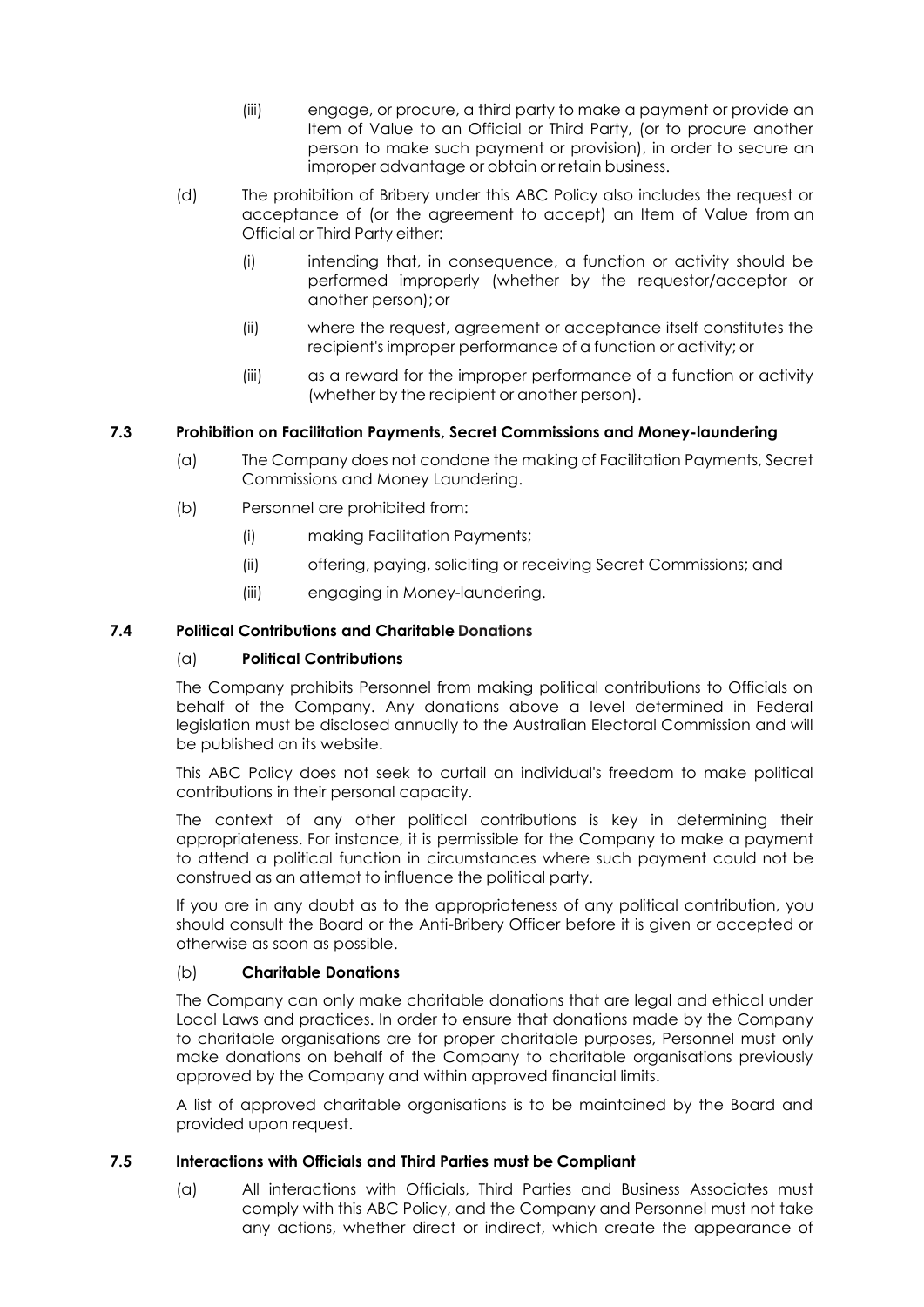- (iii) engage, or procure, a third party to make a payment or provide an Item of Value to an Official or Third Party, (or to procure another person to make such payment or provision), in order to secure an improper advantage or obtain or retain business.
- (d) The prohibition of Bribery under this ABC Policy also includes the request or acceptance of (or the agreement to accept) an Item of Value from an Official or Third Party either:
	- (i) intending that, in consequence, a function or activity should be performed improperly (whether by the requestor/acceptor or another person);or
	- (ii) where the request, agreement or acceptance itself constitutes the recipient's improper performance of a function or activity; or
	- (iii) as a reward for the improper performance of a function or activity (whether by the recipient or another person).

## **7.3 Prohibition on Facilitation Payments, Secret Commissions and Money-laundering**

- (a) The Company does not condone the making of Facilitation Payments, Secret Commissions and Money Laundering.
- (b) Personnel are prohibited from:
	- (i) making Facilitation Payments;
	- (ii) offering, paying, soliciting or receiving Secret Commissions; and
	- (iii) engaging in Money-laundering.

## **7.4 Political Contributions and Charitable Donations**

#### (a) **Political Contributions**

The Company prohibits Personnel from making political contributions to Officials on behalf of the Company. Any donations above a level determined in Federal legislation must be disclosed annually to the Australian Electoral Commission and will be published on its website.

This ABC Policy does not seek to curtail an individual's freedom to make political contributions in their personal capacity.

The context of any other political contributions is key in determining their appropriateness. For instance, it is permissible for the Company to make a payment to attend a political function in circumstances where such payment could not be construed as an attempt to influence the political party.

If you are in any doubt as to the appropriateness of any political contribution, you should consult the Board or the Anti-Bribery Officer before it is given or accepted or otherwise as soon as possible.

#### (b) **Charitable Donations**

The Company can only make charitable donations that are legal and ethical under Local Laws and practices. In order to ensure that donations made by the Company to charitable organisations are for proper charitable purposes, Personnel must only make donations on behalf of the Company to charitable organisations previously approved by the Company and within approved financial limits.

A list of approved charitable organisations is to be maintained by the Board and provided upon request.

#### **7.5 Interactions with Officials and Third Parties must be Compliant**

(a) All interactions with Officials, Third Parties and Business Associates must comply with this ABC Policy, and the Company and Personnel must not take any actions, whether direct or indirect, which create the appearance of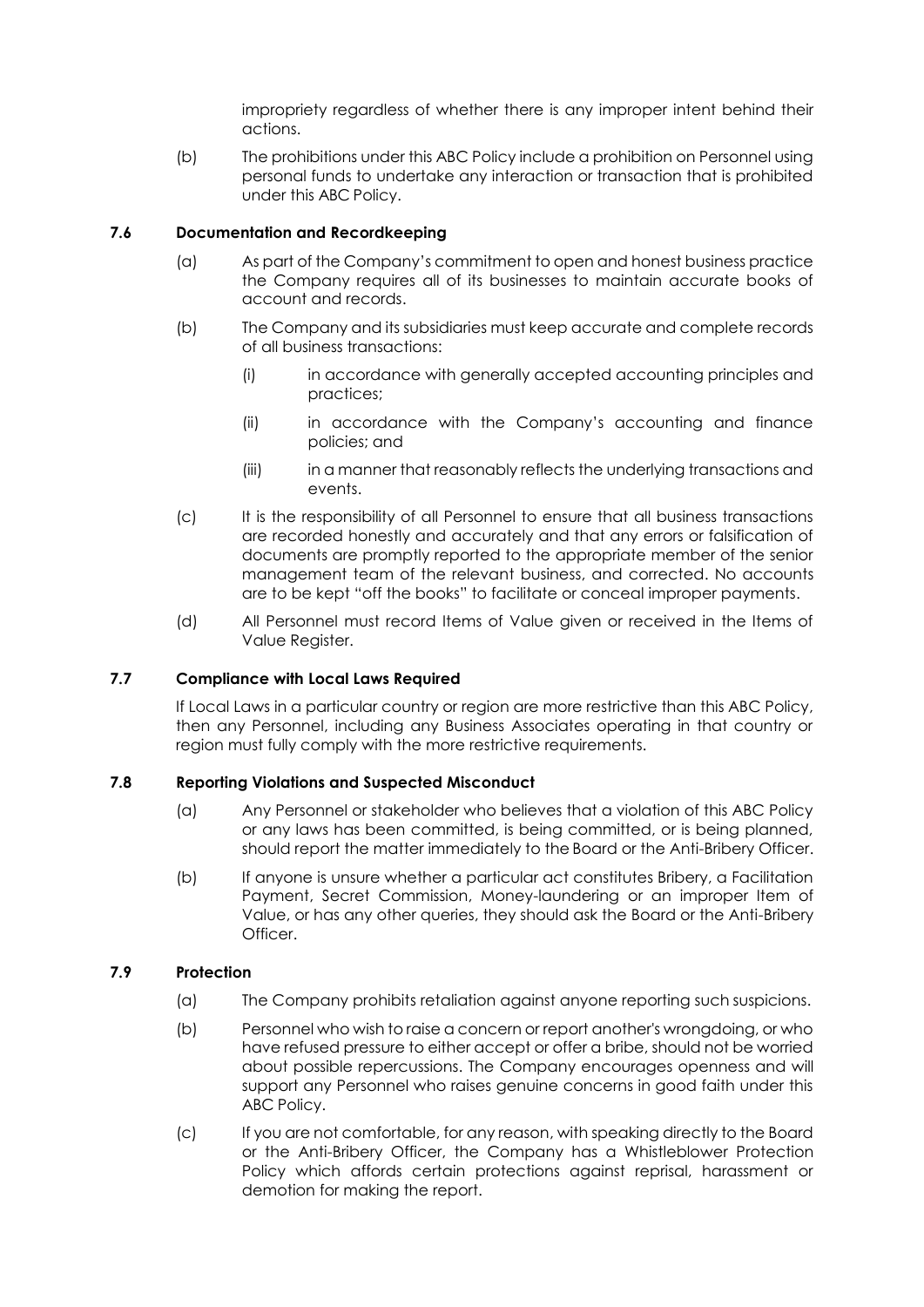impropriety regardless of whether there is any improper intent behind their actions.

(b) The prohibitions under this ABC Policy include a prohibition on Personnel using personal funds to undertake any interaction or transaction that is prohibited under this ABC Policy.

### **7.6 Documentation and Recordkeeping**

- (a) As part of the Company's commitment to open and honest business practice the Company requires all of its businesses to maintain accurate books of account and records.
- (b) The Company and its subsidiaries must keep accurate and complete records of all business transactions:
	- (i) in accordance with generally accepted accounting principles and practices;
	- (ii) in accordance with the Company's accounting and finance policies; and
	- (iii) in a manner that reasonably reflects the underlying transactions and events.
- (c) It is the responsibility of all Personnel to ensure that all business transactions are recorded honestly and accurately and that any errors or falsification of documents are promptly reported to the appropriate member of the senior management team of the relevant business, and corrected. No accounts are to be kept "off the books" to facilitate or conceal improper payments.
- (d) All Personnel must record Items of Value given or received in the Items of Value Register.

## **7.7 Compliance with Local Laws Required**

If Local Laws in a particular country or region are more restrictive than this ABC Policy, then any Personnel, including any Business Associates operating in that country or region must fully comply with the more restrictive requirements.

#### **7.8 Reporting Violations and Suspected Misconduct**

- (a) Any Personnel or stakeholder who believes that a violation of this ABC Policy or any laws has been committed, is being committed, or is being planned, should report the matter immediately to the Board or the Anti-Bribery Officer.
- (b) If anyone is unsure whether a particular act constitutes Bribery, a Facilitation Payment, Secret Commission, Money-laundering or an improper Item of Value, or has any other queries, they should ask the Board or the Anti-Bribery Officer.

## **7.9 Protection**

- (a) The Company prohibits retaliation against anyone reporting such suspicions.
- (b) Personnel who wish to raise a concern or report another's wrongdoing, or who have refused pressure to either accept or offer a bribe, should not be worried about possible repercussions. The Company encourages openness and will support any Personnel who raises genuine concerns in good faith under this ABC Policy.
- (c) If you are not comfortable, for any reason, with speaking directly to the Board or the Anti-Bribery Officer, the Company has a Whistleblower Protection Policy which affords certain protections against reprisal, harassment or demotion for making the report.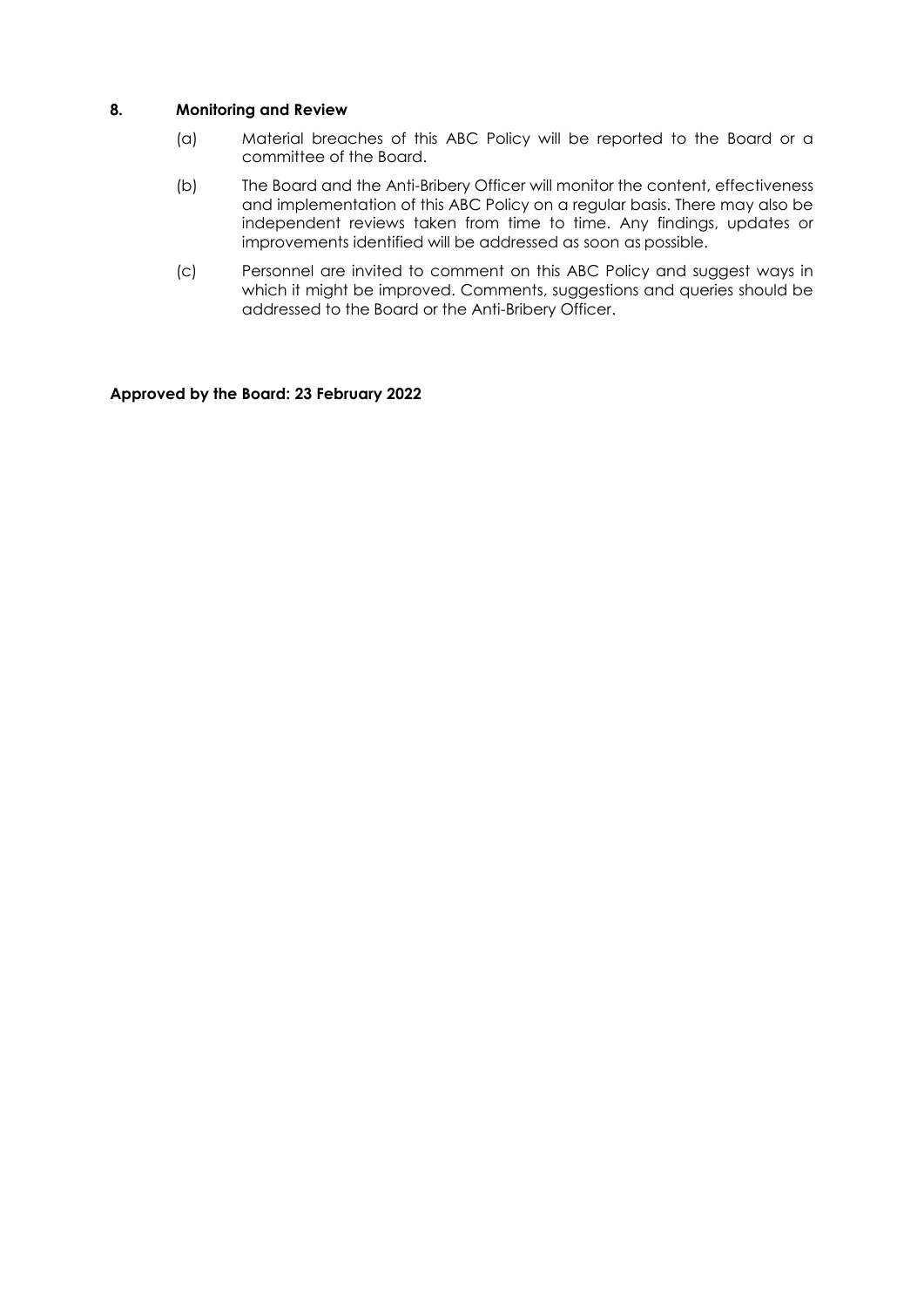### **8. Monitoring and Review**

- (a) Material breaches of this ABC Policy will be reported to the Board or a committee of the Board.
- (b) The Board and the Anti-Bribery Officer will monitor the content, effectiveness and implementation of this ABC Policy on a regular basis. There may also be independent reviews taken from time to time. Any findings, updates or improvements identified will be addressed as soon as possible.
- (c) Personnel are invited to comment on this ABC Policy and suggest ways in which it might be improved. Comments, suggestions and queries should be addressed to the Board or the Anti-Bribery Officer.

#### **Approved by the Board: 23 February 2022**